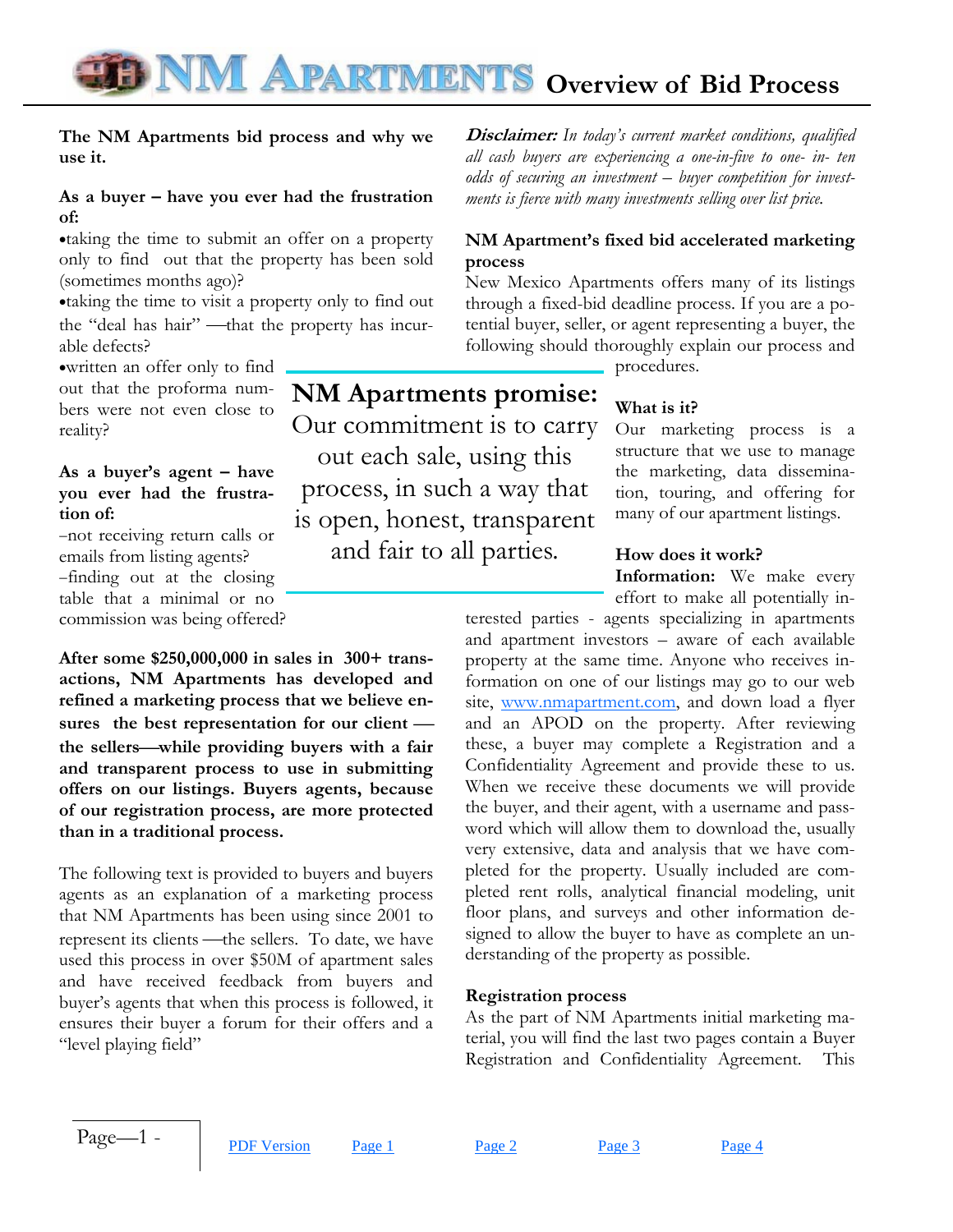## **TE NM APARTMENTS** Overview of Bid Process

**NM Apartments promise:**  Our commitment is to carry out each sale, using this

process, in such a way that

is open, honest, transparent

and fair to all parties.

#### **The NM Apartments bid process and why we use it.**

#### **As a buyer – have you ever had the frustration of:**

•taking the time to submit an offer on a property only to find out that the property has been sold (sometimes months ago)?

•taking the time to visit a property only to find out the "deal has hair" —that the property has incurable defects?

•written an offer only to find out that the proforma numbers were not even close to reality?

#### **As a buyer's agent – have you ever had the frustration of:**

−not receiving return calls or emails from listing agents? −finding out at the closing table that a minimal or no commission was being offered?

**After some \$250,000,000 in sales in 300+ transactions, NM Apartments has developed and refined a marketing process that we believe en**sures the best representation for our client **the sellers**⎯**while providing buyers with a fair and transparent process to use in submitting offers on our listings. Buyers agents, because of our registration process, are more protected than in a traditional process.** 

The following text is provided to buyers and buyers agents as an explanation of a marketing process that NM Apartments has been using since 2001 to represent its clients —the sellers. To date, we have used this process in over \$50M of apartment sales and have received feedback from buyers and buyer's agents that when this process is followed, it ensures their buyer a forum for their offers and a "level playing field"

**Disclaimer:** *In today's current market conditions, qualified all cash buyers are experiencing a one-in-five to one- in- ten odds of securing an investment – buyer competition for investments is fierce with many investments selling over list price.* 

#### **NM Apartment's fixed bid accelerated marketing process**

New Mexico Apartments offers many of its listings through a fixed-bid deadline process. If you are a potential buyer, seller, or agent representing a buyer, the following should thoroughly explain our process and

procedures.

### **What is it?**

Our marketing process is a structure that we use to manage the marketing, data dissemination, touring, and offering for many of our apartment listings.

#### **How does it work?**

**Information:** We make every effort to make all potentially in-

terested parties - agents specializing in apartments and apartment investors – aware of each available property at the same time. Anyone who receives information on one of our listings may go to our web site, www.nmapartment.com, and down load a flyer and an APOD on the property. After reviewing these, a buyer may complete a Registration and a Confidentiality Agreement and provide these to us. When we receive these documents we will provide the buyer, and their agent, with a username and password which will allow them to download the, usually very extensive, data and analysis that we have completed for the property. Usually included are completed rent rolls, analytical financial modeling, unit floor plans, and surveys and other information designed to allow the buyer to have as complete an understanding of the property as possible.

#### **Registration process**

As the part of NM Apartments initial marketing material, you will find the last two pages contain a Buyer Registration and Confidentiality Agreement. This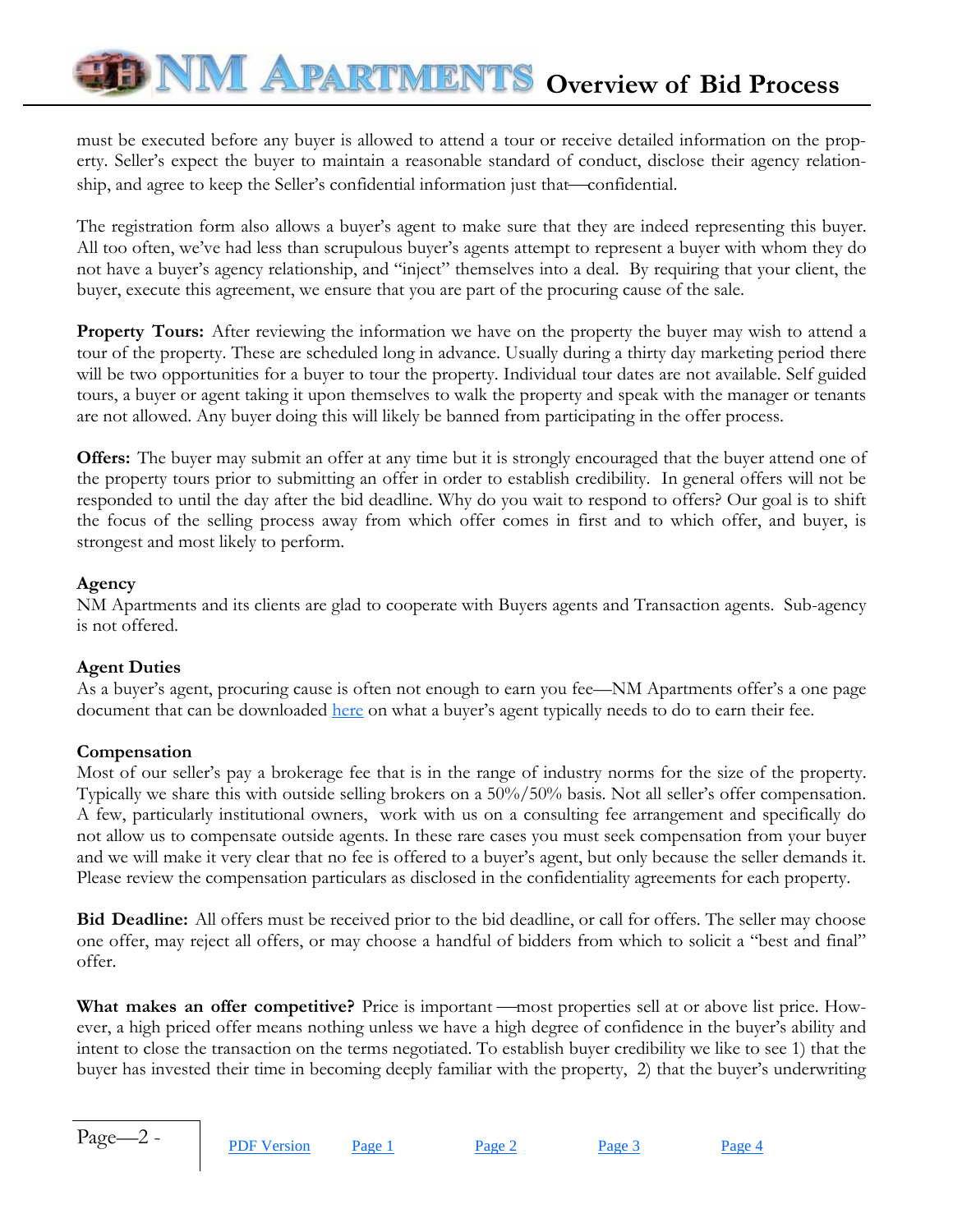# **TE NM APARTMENTS** Overview of Bid Process

must be executed before any buyer is allowed to attend a tour or receive detailed information on the property. Seller's expect the buyer to maintain a reasonable standard of conduct, disclose their agency relationship, and agree to keep the Seller's confidential information just that—confidential.

The registration form also allows a buyer's agent to make sure that they are indeed representing this buyer. All too often, we've had less than scrupulous buyer's agents attempt to represent a buyer with whom they do not have a buyer's agency relationship, and "inject" themselves into a deal. By requiring that your client, the buyer, execute this agreement, we ensure that you are part of the procuring cause of the sale.

**Property Tours:** After reviewing the information we have on the property the buyer may wish to attend a tour of the property. These are scheduled long in advance. Usually during a thirty day marketing period there will be two opportunities for a buyer to tour the property. Individual tour dates are not available. Self guided tours, a buyer or agent taking it upon themselves to walk the property and speak with the manager or tenants are not allowed. Any buyer doing this will likely be banned from participating in the offer process.

**Offers:** The buyer may submit an offer at any time but it is strongly encouraged that the buyer attend one of the property tours prior to submitting an offer in order to establish credibility. In general offers will not be responded to until the day after the bid deadline. Why do you wait to respond to offers? Our goal is to shift the focus of the selling process away from which offer comes in first and to which offer, and buyer, is strongest and most likely to perform.

#### **Agency**

NM Apartments and its clients are glad to cooperate with Buyers agents and Transaction agents. Sub-agency is not offered.

#### **Agent Duties**

As a buyer's agent, procuring cause is often not enough to earn you fee—NM Apartments offer's a one page document that can be downloaded here on what a buyer's agent typically needs to do to earn their fee.

#### **Compensation**

Most of our seller's pay a brokerage fee that is in the range of industry norms for the size of the property. Typically we share this with outside selling brokers on a 50%/50% basis. Not all seller's offer compensation. A few, particularly institutional owners, work with us on a consulting fee arrangement and specifically do not allow us to compensate outside agents. In these rare cases you must seek compensation from your buyer and we will make it very clear that no fee is offered to a buyer's agent, but only because the seller demands it. Please review the compensation particulars as disclosed in the confidentiality agreements for each property.

**Bid Deadline:** All offers must be received prior to the bid deadline, or call for offers. The seller may choose one offer, may reject all offers, or may choose a handful of bidders from which to solicit a "best and final" offer.

**What makes an offer competitive?** Price is important —most properties sell at or above list price. However, a high priced offer means nothing unless we have a high degree of confidence in the buyer's ability and intent to close the transaction on the terms negotiated. To establish buyer credibility we like to see 1) that the buyer has invested their time in becoming deeply familiar with the property, 2) that the buyer's underwriting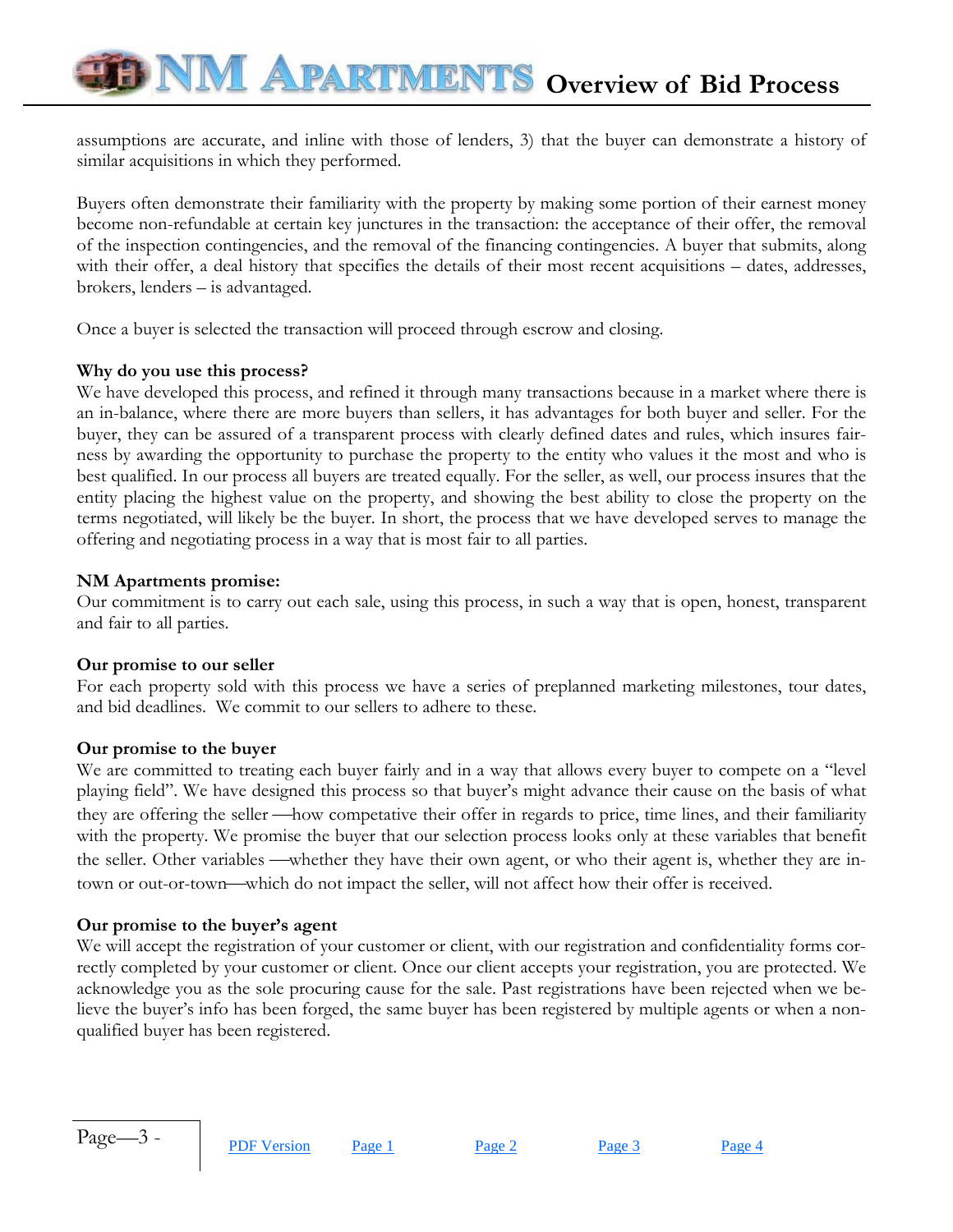assumptions are accurate, and inline with those of lenders, 3) that the buyer can demonstrate a history of similar acquisitions in which they performed.

Buyers often demonstrate their familiarity with the property by making some portion of their earnest money become non-refundable at certain key junctures in the transaction: the acceptance of their offer, the removal of the inspection contingencies, and the removal of the financing contingencies. A buyer that submits, along with their offer, a deal history that specifies the details of their most recent acquisitions – dates, addresses, brokers, lenders – is advantaged.

Once a buyer is selected the transaction will proceed through escrow and closing.

#### **Why do you use this process?**

We have developed this process, and refined it through many transactions because in a market where there is an in-balance, where there are more buyers than sellers, it has advantages for both buyer and seller. For the buyer, they can be assured of a transparent process with clearly defined dates and rules, which insures fairness by awarding the opportunity to purchase the property to the entity who values it the most and who is best qualified. In our process all buyers are treated equally. For the seller, as well, our process insures that the entity placing the highest value on the property, and showing the best ability to close the property on the terms negotiated, will likely be the buyer. In short, the process that we have developed serves to manage the offering and negotiating process in a way that is most fair to all parties.

#### **NM Apartments promise:**

Our commitment is to carry out each sale, using this process, in such a way that is open, honest, transparent and fair to all parties.

#### **Our promise to our seller**

For each property sold with this process we have a series of preplanned marketing milestones, tour dates, and bid deadlines. We commit to our sellers to adhere to these.

#### **Our promise to the buyer**

We are committed to treating each buyer fairly and in a way that allows every buyer to compete on a "level" playing field". We have designed this process so that buyer's might advance their cause on the basis of what they are offering the seller —how competative their offer in regards to price, time lines, and their familiarity with the property. We promise the buyer that our selection process looks only at these variables that benefit the seller. Other variables —whether they have their own agent, or who their agent is, whether they are intown or out-or-town—which do not impact the seller, will not affect how their offer is received.

#### **Our promise to the buyer's agent**

We will accept the registration of your customer or client, with our registration and confidentiality forms correctly completed by your customer or client. Once our client accepts your registration, you are protected. We acknowledge you as the sole procuring cause for the sale. Past registrations have been rejected when we believe the buyer's info has been forged, the same buyer has been registered by multiple agents or when a nonqualified buyer has been registered.